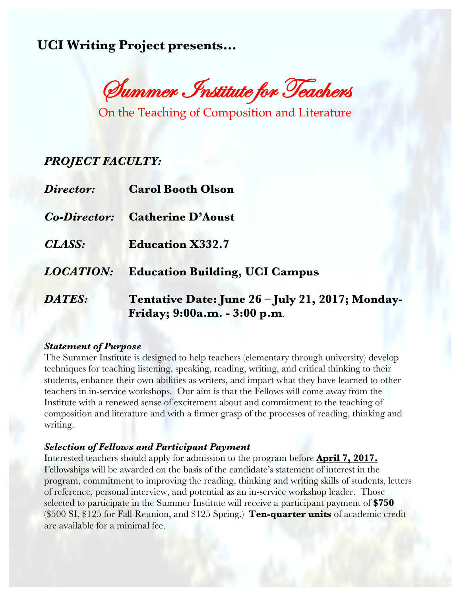**UCI Writing Project presents…**

Summer Institute for Teachers

On the Teaching of Composition and Literature

# *PROJECT FACULTY:*

| Director:           | <b>Carol Booth Olson</b>                                                         |
|---------------------|----------------------------------------------------------------------------------|
| <b>Co-Director:</b> | <b>Catherine D'Aoust</b>                                                         |
| CLASS:              | <b>Education X332.7</b>                                                          |
| <b>LOCATION:</b>    | <b>Education Building, UCI Campus</b>                                            |
| <b>DATES:</b>       | Tentative Date: June 26 - July 21, 2017; Monday-<br>Friday; 9:00a.m. - 3:00 p.m. |

### *Statement of Purpose*

The Summer Institute is designed to help teachers (elementary through university) develop techniques for teaching listening, speaking, reading, writing, and critical thinking to their students, enhance their own abilities as writers, and impart what they have learned to other teachers in in-service workshops. Our aim is that the Fellows will come away from the Institute with a renewed sense of excitement about and commitment to the teaching of composition and literature and with a firmer grasp of the processes of reading, thinking and writing.

### *Selection of Fellows and Participant Payment*

Interested teachers should apply for admission to the program before **April 7, 2017.** Fellowships will be awarded on the basis of the candidate's statement of interest in the program, commitment to improving the reading, thinking and writing skills of students, letters of reference, personal interview, and potential as an in-service workshop leader. Those selected to participate in the Summer Institute will receive a participant payment of **\$750** (\$500 SI, \$125 for Fall Reunion, and \$125 Spring.) **Ten-quarter units** of academic credit are available for a minimal fee.